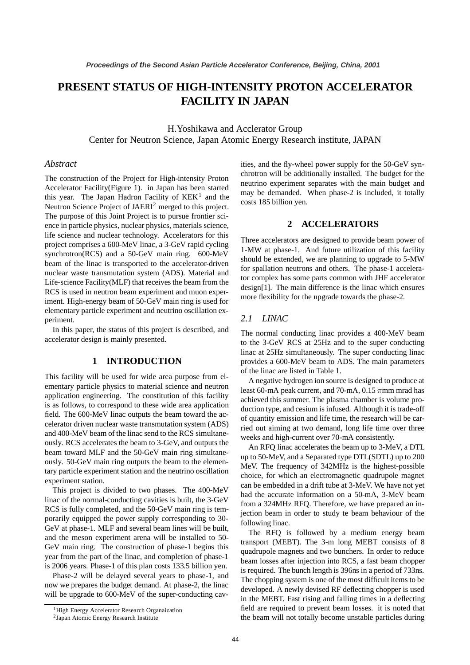# **PRESENT STATUS OF HIGH-INTENSITY PROTON ACCELERATOR FACILITY IN JAPAN**

H.Yoshikawa and Acclerator Group Center for Neutron Science, Japan Atomic Energy Research institute, JAPAN

## *Abstract*

The construction of the Project for High-intensity Proton Accelerator Facility(Figure 1). in Japan has been started this year. The Japan Hadron Facility of  $KEK<sup>1</sup>$  and the Neutron Science Project of JAERI<sup>2</sup> merged to this project. The purpose of this Joint Project is to pursue frontier science in particle physics, nuclear physics, materials science, life science and nuclear technology. Accelerators for this project comprises a 600-MeV linac, a 3-GeV rapid cycling synchrotron(RCS) and a 50-GeV main ring. 600-MeV beam of the linac is transported to the accelerator-driven nuclear waste transmutation system (ADS). Material and Life-science Facility(MLF) that receives the beam from the RCS is used in neutron beam experiment and muon experiment. High-energy beam of 50-GeV main ring is used for elementary particle experiment and neutrino oscillation experiment.

In this paper, the status of this project is described, and accelerator design is mainly presented.

# **1 INTRODUCTION**

This facility will be used for wide area purpose from elementary particle physics to material science and neutron application engineering. The constitution of this facility is as follows, to correspond to these wide area application field. The 600-MeV linac outputs the beam toward the accelerator driven nuclear waste transmutation system (ADS) and 400-MeV beam of the linac send to the RCS simultaneously. RCS accelerates the beam to 3-GeV, and outputs the beam toward MLF and the 50-GeV main ring simultaneously. 50-GeV main ring outputs the beam to the elementary particle experiment station and the neutrino oscillation experiment station.

This project is divided to two phases. The 400-MeV linac of the normal-conducting cavities is built, the 3-GeV RCS is fully completed, and the 50-GeV main ring is temporarily equipped the power supply corresponding to 30- GeV at phase-1. MLF and several beam lines will be built, and the meson experiment arena will be installed to 50- GeV main ring. The construction of phase-1 begins this year from the part of the linac, and completion of phase-1 is 2006 years. Phase-1 of this plan costs 133.5 billion yen.

Phase-2 will be delayed several years to phase-1, and now we prepares the budget demand. At phase-2, the linac will be upgrade to 600-MeV of the super-conducting cavities, and the fly-wheel power supply for the 50-GeV synchrotron will be additionally installed. The budget for the neutrino experiment separates with the main budget and may be demanded. When phase-2 is included, it totally costs 185 billion yen.

## **2 ACCELERATORS**

Three accelerators are designed to provide beam power of 1-MW at phase-1. And future utilization of this facility should be extended, we are planning to upgrade to 5-MW for spallation neutrons and others. The phase-1 accelerator complex has some parts common with JHF accelerator design[1]. The main difference is the linac which ensures more flexibility for the upgrade towards the phase-2.

# *2.1 LINAC*

The normal conducting linac provides a 400-MeV beam to the 3-GeV RCS at 25Hz and to the super conducting linac at 25Hz simultaneously. The super conducting linac provides a 600-MeV beam to ADS. The main parameters of the linac are listed in Table 1.

A negative hydrogen ion source is designed to produce at least 60-mA peak current, and 70-mA, 0.15  $\pi$ mm mrad has achieved this summer. The plasma chamber is volume production type, and cesium is infused. Although it is trade-off of quantity emission and life time, the research will be carried out aiming at two demand, long life time over three weeks and high-current over 70-mA consistently.

An RFQ linac accelerates the beam up to 3-MeV, a DTL up to 50-MeV, and a Separated type DTL(SDTL) up to 200 MeV. The frequency of 342MHz is the highest-possible choice, for which an electromagnetic quadrupole magnet can be embedded in a drift tube at 3-MeV. We have not yet had the accurate information on a 50-mA, 3-MeV beam from a 324MHz RFQ. Therefore, we have prepared an injection beam in order to study te beam behaviour of the following linac.

The RFQ is followed by a medium energy beam transport (MEBT). The 3-m long MEBT consists of 8 quadrupole magnets and two bunchers. In order to reduce beam losses after injection into RCS, a fast beam chopper is required. The bunch length is 396ns in a period of 733ns. The chopping system is one of the most difficult items to be developed. A newly devised RF deflecting chopper is used in the MEBT. Fast rising and falling times in a deflecting field are required to prevent beam losses. it is noted that the beam will not totally become unstable particles during

<sup>&</sup>lt;sup>1</sup> High Energy Accelerator Research Organaization

<sup>2</sup>Japan Atomic Energy Research Institute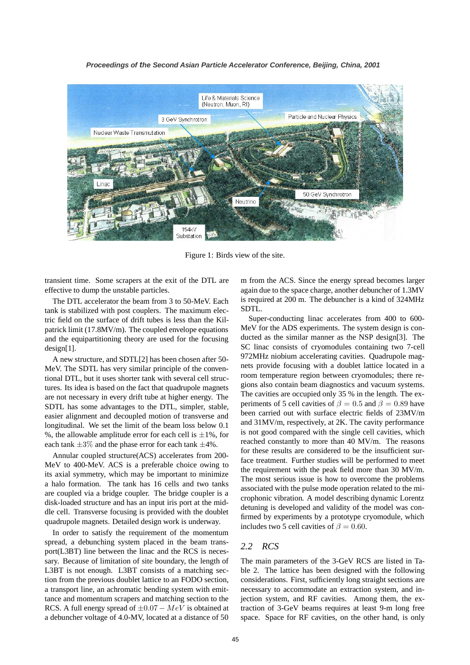#### **Proceedings of the Second Asian Particle Accelerator Conference, Beijing, China, 2001**



Figure 1: Birds view of the site.

transient time. Some scrapers at the exit of the DTL are effective to dump the unstable particles.

The DTL accelerator the beam from 3 to 50-MeV. Each tank is stabilized with post couplers. The maximum electric field on the surface of drift tubes is less than the Kilpatrick limit (17.8MV/m). The coupled envelope equations and the equipartitioning theory are used for the focusing design[1].

A new structure, and SDTL[2] has been chosen after 50- MeV. The SDTL has very similar principle of the conventional DTL, but it uses shorter tank with several cell structures. Its idea is based on the fact that quadrupole magnets are not necessary in every drift tube at higher energy. The SDTL has some advantages to the DTL, simpler, stable, easier alignment and decoupled motion of transverse and longitudinal. We set the limit of the beam loss below 0.1 %, the allowable amplitude error for each cell is  $\pm 1$ %, for each tank *±*3% and the phase error for each tank *±*4%.

Annular coupled structure(ACS) accelerates from 200- MeV to 400-MeV. ACS is a preferable choice owing to its axial symmetry, which may be important to minimize a halo formation. The tank has 16 cells and two tanks are coupled via a bridge coupler. The bridge coupler is a disk-loaded structure and has an input iris port at the middle cell. Transverse focusing is provided with the doublet quadrupole magnets. Detailed design work is underway.

In order to satisfy the requirement of the momentum spread, a debunching system placed in the beam transport(L3BT) line between the linac and the RCS is necessary. Because of limitation of site boundary, the length of L3BT is not enough. L3BT consists of a matching section from the previous doublet lattice to an FODO section, a transport line, an achromatic bending system with emittance and momentum scrapers and matching section to the RCS. A full energy spread of *±*0.07 *−* MeV is obtained at a debuncher voltage of 4.0-MV, located at a distance of 50

m from the ACS. Since the energy spread becomes larger again due to the space charge, another debuncher of 1.3MV is required at 200 m. The debuncher is a kind of 324MHz SDTL.

Super-conducting linac accelerates from 400 to 600- MeV for the ADS experiments. The system design is conducted as the similar manner as the NSP design[3]. The SC linac consists of cryomodules containing two 7-cell 972MHz niobium accelerating cavities. Quadrupole magnets provide focusing with a doublet lattice located in a room temperature region between cryomodules; there regions also contain beam diagnostics and vacuum systems. The cavities are occupied only 35 % in the length. The experiments of 5 cell cavities of  $\beta = 0.5$  and  $\beta = 0.89$  have been carried out with surface electric fields of 23MV/m and 31MV/m, respectively, at 2K. The cavity performance is not good compared with the single cell cavities, which reached constantly to more than 40 MV/m. The reasons for these results are considered to be the insufficient surface treatment. Further studies will be performed to meet the requirement with the peak field more than 30 MV/m. The most serious issue is how to overcome the problems associated with the pulse mode operation related to the microphonic vibration. A model describing dynamic Lorentz detuning is developed and validity of the model was confirmed by experiments by a prototype cryomodule, which includes two 5 cell cavities of  $\beta = 0.60$ .

## *2.2 RCS*

The main parameters of the 3-GeV RCS are listed in Table 2. The lattice has been designed with the following considerations. First, sufficiently long straight sections are necessary to accommodate an extraction system, and injection system, and RF cavities. Among them, the extraction of 3-GeV beams requires at least 9-m long free space. Space for RF cavities, on the other hand, is only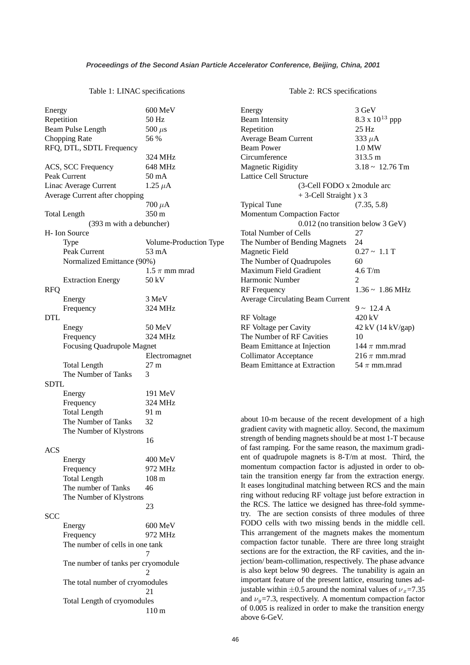#### Table 1: LINAC specifications

| Energy                |                                    | 600 MeV                |  |
|-----------------------|------------------------------------|------------------------|--|
| Repetition            |                                    | 50 Hz                  |  |
| Beam Pulse Length     |                                    | 500 $\mu$ s            |  |
| <b>Chopping Rate</b>  |                                    | 56 %                   |  |
|                       | RFQ, DTL, SDTL Frequency           |                        |  |
|                       |                                    | 324 MHz                |  |
|                       | ACS, SCC Frequency                 | 648 MHz                |  |
| Peak Current          |                                    | 50 mA                  |  |
| Linac Average Current |                                    | 1.25 $\mu$ A           |  |
|                       | Average Current after chopping     |                        |  |
|                       |                                    | 700 $\mu$ A            |  |
|                       | <b>Total Length</b>                | 350 m                  |  |
|                       | (393 m with a debuncher)           |                        |  |
|                       | H- Ion Source                      |                        |  |
|                       | Type                               | Volume-Production Type |  |
|                       | Peak Current                       | 53 mA                  |  |
|                       | Normalized Emittance (90%)         |                        |  |
|                       |                                    | $1.5\:\pi$ mm mrad     |  |
|                       | <b>Extraction Energy</b>           | 50 kV                  |  |
| <b>RFQ</b>            |                                    |                        |  |
|                       |                                    |                        |  |
|                       | Energy                             | 3 MeV                  |  |
|                       | Frequency                          | 324 MHz                |  |
| <b>DTL</b>            |                                    |                        |  |
|                       | Enegy                              | 50 MeV                 |  |
|                       | Frequency                          | 324 MHz                |  |
|                       | <b>Focusing Quadrupole Magnet</b>  |                        |  |
|                       |                                    | Electromagnet          |  |
|                       | <b>Total Length</b>                | 27 <sub>m</sub>        |  |
|                       | The Number of Tanks                | 3                      |  |
| SDTL                  |                                    |                        |  |
|                       | Energy                             | 191 MeV                |  |
|                       | Frequency                          | 324 MHz                |  |
|                       | <b>Total Length</b>                | 91 m                   |  |
|                       | The Number of Tanks                | 32                     |  |
|                       | The Number of Klystrons            |                        |  |
|                       |                                    | 16                     |  |
| <b>ACS</b>            |                                    |                        |  |
|                       | Energy                             | 400 MeV                |  |
|                       | Frequency                          | 972 MHz                |  |
|                       | <b>Total Length</b>                | $108 \text{ m}$        |  |
|                       | The number of Tanks                | 46                     |  |
|                       | The Number of Klystrons            |                        |  |
|                       |                                    | 23                     |  |
| <b>SCC</b>            |                                    |                        |  |
|                       | Energy                             | 600 MeV                |  |
|                       | Frequency                          | 972 MHz                |  |
|                       | The number of cells in one tank    |                        |  |
|                       | 7                                  |                        |  |
|                       | The number of tanks per cryomodule |                        |  |
|                       | 2                                  |                        |  |
|                       | The total number of cryomodules    |                        |  |
|                       |                                    | 21                     |  |
|                       | Total Length of cryomodules        |                        |  |
|                       |                                    | 110 <sub>m</sub>       |  |
|                       |                                    |                        |  |

#### Table 2: RCS specifications

| Energy                                  | 3 GeV                             |
|-----------------------------------------|-----------------------------------|
| <b>Beam Intensity</b>                   | 8.3 x $10^{13}$ ppp               |
| Repetition                              | $25$ Hz                           |
| Average Beam Current                    | 333 $\mu$ A                       |
| <b>Beam Power</b>                       | 1.0 MW                            |
| Circumference                           | 313.5 m                           |
| <b>Magnetic Rigidity</b>                | $3.18 \sim 12.76$ Tm              |
| <b>Lattice Cell Structure</b>           |                                   |
| (3-Cell FODO x 2module arc              |                                   |
| $+3$ -Cell Straight) x 3                |                                   |
| <b>Typical Tune</b>                     | (7.35, 5.8)                       |
| <b>Momentum Compaction Factor</b>       |                                   |
|                                         | 0.012 (no transition below 3 GeV) |
| Total Number of Cells                   | 27                                |
| The Number of Bending Magnets           | 24                                |
| Magnetic Field                          | $0.27 - 1.1$ T                    |
| The Number of Quadrupoles               | 60                                |
| Maximum Field Gradient                  | $4.6$ T/m                         |
| Harmonic Number                         | 2                                 |
| <b>RF</b> Frequency                     | $1.36 \sim 1.86 \text{ MHz}$      |
| <b>Average Circulating Beam Current</b> |                                   |
|                                         | $9 \sim 12.4$ A                   |
| RF Voltage                              | 420 kV                            |
| RF Voltage per Cavity                   | 42 kV (14 kV/gap)                 |
| The Number of RF Cavities               | 10                                |
| Beam Emittance at Injection             | 144 $\pi$ mm.mrad                 |
| <b>Collimator Acceptance</b>            | 216 $\pi$ mm.mrad                 |
| <b>Beam Emittance at Extraction</b>     | 54 $\pi$ mm.mrad                  |

about 10-m because of the recent development of a high gradient cavity with magnetic alloy. Second, the maximum strength of bending magnets should be at most 1-T because of fast ramping. For the same reason, the maximum gradient of quadrupole magnets is 8-T/m at most. Third, the momentum compaction factor is adjusted in order to obtain the transition energy far from the extraction energy. It eases longitudinal matching between RCS and the main ring without reducing RF voltage just before extraction in the RCS. The lattice we designed has three-fold symmetry. The are section consists of three modules of three FODO cells with two missing bends in the middle cell. This arrangement of the magnets makes the momentum compaction factor tunable. There are three long straight sections are for the extraction, the RF cavities, and the injection/ beam-collimation, respectively. The phase advance is also kept below 90 degrees. The tunability is again an important feature of the present lattice, ensuring tunes adjustable within  $\pm 0.5$  around the nominal values of  $v_x = 7.35$ and  $\nu_y$ =7.3, respectively. A momentum compaction factor of 0.005 is realized in order to make the transition energy above 6-GeV.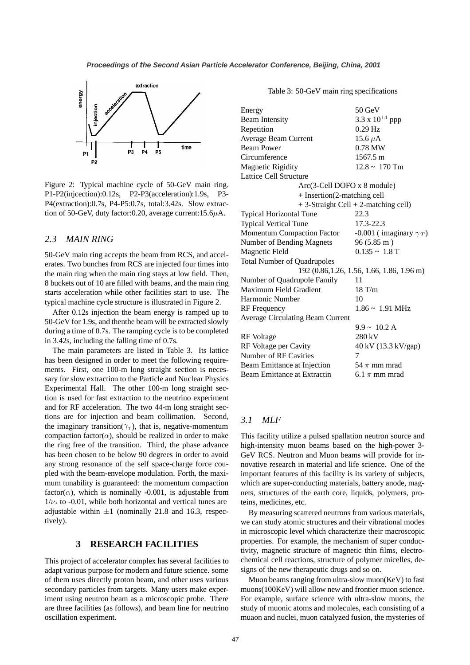

Figure 2: Typical machine cycle of 50-GeV main ring. P1-P2(injcection):0.12s, P2-P3(acceleration):1.9s, P3- P4(extraction):0.7s, P4-P5:0.7s, total:3.42s. Slow extraction of 50-GeV, duty factor: 0.20, average current:  $15.6\mu$ A.

## *2.3 MAIN RING*

50-GeV main ring accepts the beam from RCS, and accelerates. Two bunches from RCS are injected four times into the main ring when the main ring stays at low field. Then, 8 buckets out of 10 are filled with beams, and the main ring starts acceleration while other facilities start to use. The typical machine cycle structure is illustrated in Figure 2.

After 0.12s injection the beam energy is ramped up to 50-GeV for 1.9s, and thenthe beam will be extracted slowly during a time of 0.7s. The ramping cycle is to be completed in 3.42s, including the falling time of 0.7s.

The main parameters are listed in Table 3. Its lattice has been designed in order to meet the following requirements. First, one 100-m long straight section is necessary for slow extraction to the Particle and Nuclear Physics Experimental Hall. The other 100-m long straight section is used for fast extraction to the neutrino experiment and for RF acceleration. The two 44-m long straight sections are for injection and beam collimation. Second, the imaginary transition( $\gamma_T$ ), that is, negative-momentum compaction factor( $\alpha$ ), should be realized in order to make the ring free of the transition. Third, the phase advance has been chosen to be below 90 degrees in order to avoid any strong resonance of the self space-charge force coupled with the beam-envelope modulation. Forth, the maximum tunability is guaranteed: the momentum compaction factor( $\alpha$ ), which is nominally -0.001, is adjustable from  $1/\nu_{\rm x}$  to -0.01, while both horizontal and vertical tunes are adjustable within  $\pm 1$  (nominally 21.8 and 16.3, respectively).

# **3 RESEARCH FACILITIES**

This project of accelerator complex has several facilities to adapt various purpose for modern and future science. some of them uses directly proton beam, and other uses various secondary particles from targets. Many users make experiment using neutron beam as a microscopic probe. There are three facilities (as follows), and beam line for neutrino oscillation experiment.

Table 3: 50-GeV main ring specifications

| Energy                                     | $50 \text{ GeV}$                     |  |  |
|--------------------------------------------|--------------------------------------|--|--|
| <b>Beam Intensity</b>                      | 3.3 x $10^{14}$ ppp                  |  |  |
| Repetition                                 | $0.29$ Hz                            |  |  |
| Average Beam Current                       | 15.6 $\mu$ A                         |  |  |
| <b>Beam Power</b>                          | $0.78$ MW                            |  |  |
| Circumference                              | $1567.5 \text{ m}$                   |  |  |
| <b>Magnetic Rigidity</b>                   | $12.8 \sim 170$ Tm                   |  |  |
| <b>Lattice Cell Structure</b>              |                                      |  |  |
| Arc(3-Cell DOFO x 8 module)                |                                      |  |  |
| + Insertion(2-matching cell                |                                      |  |  |
|                                            | + 3-Straight Cell + 2-matching cell) |  |  |
| <b>Typical Horizontal Tune</b>             | 22.3                                 |  |  |
| <b>Typical Vertical Tune</b>               | $17.3 - 22.3$                        |  |  |
| <b>Momentum Compaction Factor</b>          | -0.001 (imaginary $\gamma_T$ )       |  |  |
| Number of Bending Magnets                  | 96(5.85 m)                           |  |  |
| <b>Magnetic Field</b>                      | $0.135 \sim 1.8$ T                   |  |  |
| <b>Total Number of Quadrupoles</b>         |                                      |  |  |
| 192 (0.86, 1.26, 1.56, 1.66, 1.86, 1.96 m) |                                      |  |  |
| Number of Quadrupole Family                | 11                                   |  |  |
| Maximum Field Gradient                     | 18 T/m                               |  |  |
| Harmonic Number                            | 10                                   |  |  |
| <b>RF</b> Frequency                        | $1.86 \sim 1.91 \text{ MHz}$         |  |  |
| <b>Average Circulating Beam Current</b>    |                                      |  |  |
|                                            | $9.9 \sim 10.2$ A                    |  |  |
| <b>RF</b> Voltage                          | 280 kV                               |  |  |
| RF Voltage per Cavity                      | 40 kV (13.3 kV/gap)                  |  |  |
| Number of RF Cavities                      | 7                                    |  |  |
| Beam Emittance at Injection                | 54 $\pi$ mm mrad                     |  |  |
| Beam Emittance at Extractin                | 6.1 $\pi$ mm mrad                    |  |  |

# *3.1 MLF*

This facility utilize a pulsed spallation neutron source and high-intensity muon beams based on the high-power 3- GeV RCS. Neutron and Muon beams will provide for innovative research in material and life science. One of the important features of this facility is its variety of subjects, which are super-conducting materials, battery anode, magnets, structures of the earth core, liquids, polymers, proteins, medicines, etc.

By measuring scattered neutrons from various materials, we can study atomic structures and their vibrational modes in microscopic level which characterize their macroscopic properties. For example, the mechanism of super conductivity, magnetic structure of magnetic thin films, electrochemical cell reactions, structure of polymer micelles, designs of the new therapeutic drugs and so on.

Muon beams ranging from ultra-slow muon(KeV) to fast muons(100KeV) will allow new and frontier muon science. For example, surface science with ultra-slow muons, the study of muonic atoms and molecules, each consisting of a muaon and nuclei, muon catalyzed fusion, the mysteries of